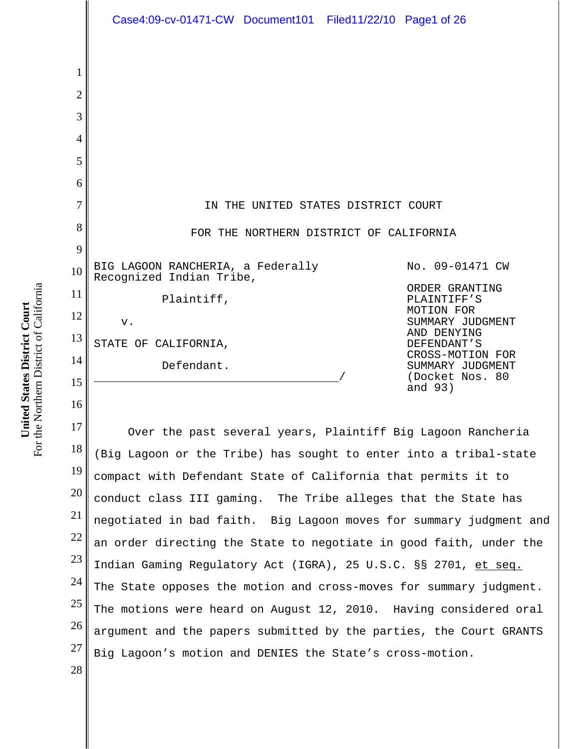1 2 3 4 5 6 7 8 9 10 11 12 13 14 15 16 17 18 19 20 21 22 23 24 25 26 27 IN THE UNITED STATES DISTRICT COURT FOR THE NORTHERN DISTRICT OF CALIFORNIA BIG LAGOON RANCHERIA, a Federally Recognized Indian Tribe, Plaintiff, v. STATE OF CALIFORNIA, Defendant. No. 09-01471 CW ORDER GRANTING PLAINTIFF'S MOTION FOR SUMMARY JUDGMENT AND DENYING DEFENDANT'S CROSS-MOTION FOR SUMMARY JUDGMENT (Docket Nos. 80 and 93) Over the past several years, Plaintiff Big Lagoon Rancheria (Big Lagoon or the Tribe) has sought to enter into a tribal-state compact with Defendant State of California that permits it to conduct class III gaming. The Tribe alleges that the State has negotiated in bad faith. Big Lagoon moves for summary judgment and an order directing the State to negotiate in good faith, under the Indian Gaming Regulatory Act (IGRA), 25 U.S.C. §§ 2701, et seq. The State opposes the motion and cross-moves for summary judgment. The motions were heard on August 12, 2010. Having considered oral argument and the papers submitted by the parties, the Court GRANTS Big Lagoon's motion and DENIES the State's cross-motion. Case4:09-cv-01471-CW Document101 Filed11/22/10 Page1 of 26

For the Northern District of California For the Northern District of California United States District Court **United States District Court**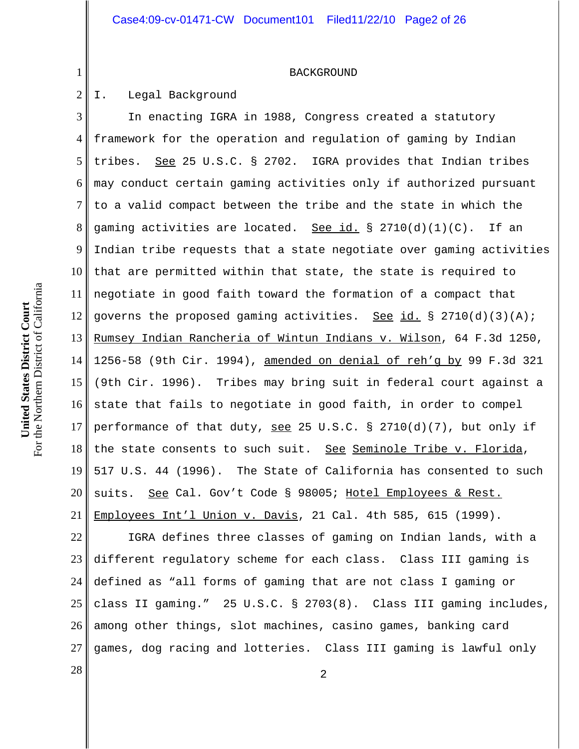#### BACKGROUND

#### 2 I. Legal Background

1

3 4 5 6 7 8 9 10 11 12 13 14 15 16 17 18 19 20 21 In enacting IGRA in 1988, Congress created a statutory framework for the operation and regulation of gaming by Indian tribes. See 25 U.S.C. § 2702. IGRA provides that Indian tribes may conduct certain gaming activities only if authorized pursuant to a valid compact between the tribe and the state in which the gaming activities are located. See id.  $\S$  2710(d)(1)(C). If an Indian tribe requests that a state negotiate over gaming activities that are permitted within that state, the state is required to negotiate in good faith toward the formation of a compact that governs the proposed gaming activities. See id.  $\S$  2710(d)(3)(A); Rumsey Indian Rancheria of Wintun Indians v. Wilson, 64 F.3d 1250, 1256-58 (9th Cir. 1994), amended on denial of reh'g by 99 F.3d 321 (9th Cir. 1996). Tribes may bring suit in federal court against a state that fails to negotiate in good faith, in order to compel performance of that duty, see 25 U.S.C. § 2710(d)(7), but only if the state consents to such suit. See Seminole Tribe v. Florida, 517 U.S. 44 (1996). The State of California has consented to such suits. See Cal. Gov't Code § 98005; Hotel Employees & Rest. Employees Int'l Union v. Davis, 21 Cal. 4th 585, 615 (1999).

22 23 24 25 26 27 IGRA defines three classes of gaming on Indian lands, with a different regulatory scheme for each class. Class III gaming is defined as "all forms of gaming that are not class I gaming or class II gaming." 25 U.S.C. § 2703(8). Class III gaming includes, among other things, slot machines, casino games, banking card games, dog racing and lotteries. Class III gaming is lawful only

 $\begin{array}{|c|c|c|c|c|}\n \hline\n 28 & 2 \\
\hline\n \end{array}$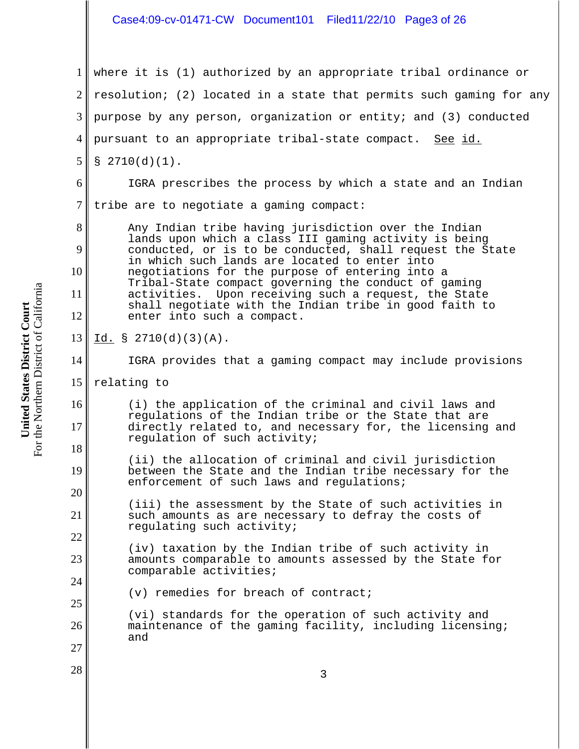# Case4:09-cv-01471-CW Document101 Filed11/22/10 Page3 of 26

1 2 3 4 5 6 7 8 9 10 11 12 13 14 15 16 17 18 19 20 21 22 23 24 25 26 27  $\begin{array}{|c|c|c|c|c|}\n \hline\n 28 & 3 \\
\hline\n \end{array}$ where it is (1) authorized by an appropriate tribal ordinance or resolution; (2) located in a state that permits such gaming for any purpose by any person, organization or entity; and (3) conducted pursuant to an appropriate tribal-state compact. See id.  $$2710(d)(1)$ . IGRA prescribes the process by which a state and an Indian tribe are to negotiate a gaming compact: Any Indian tribe having jurisdiction over the Indian lands upon which a class III gaming activity is being conducted, or is to be conducted, shall request the State in which such lands are located to enter into negotiations for the purpose of entering into a Tribal-State compact governing the conduct of gaming activities. Upon receiving such a request, the State shall negotiate with the Indian tribe in good faith to enter into such a compact.  $Id. \S 2710(d)(3)(A).$ IGRA provides that a gaming compact may include provisions relating to (i) the application of the criminal and civil laws and regulations of the Indian tribe or the State that are directly related to, and necessary for, the licensing and regulation of such activity; (ii) the allocation of criminal and civil jurisdiction between the State and the Indian tribe necessary for the enforcement of such laws and regulations; (iii) the assessment by the State of such activities in such amounts as are necessary to defray the costs of regulating such activity; (iv) taxation by the Indian tribe of such activity in amounts comparable to amounts assessed by the State for comparable activities; (v) remedies for breach of contract; (vi) standards for the operation of such activity and maintenance of the gaming facility, including licensing; and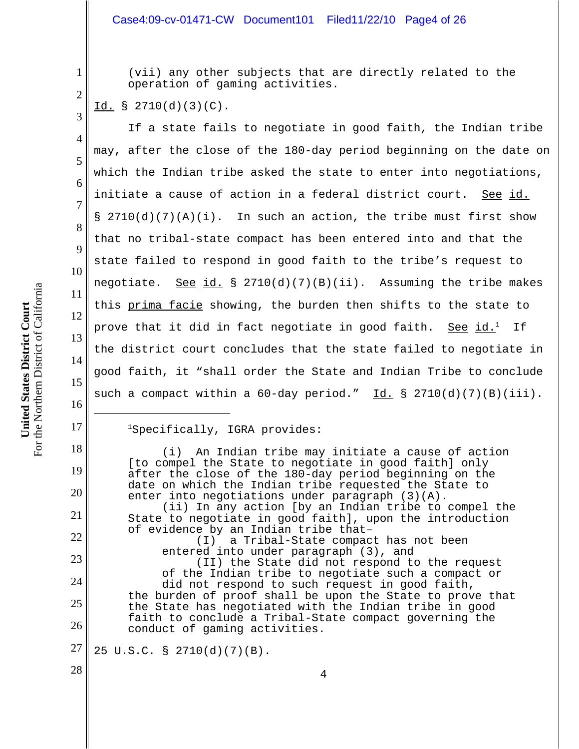## Case4:09-cv-01471-CW Document101 Filed11/22/10 Page4 of 26

(vii) any other subjects that are directly related to the operation of gaming activities.

# Id. § 2710(d)(3)(C).

1

2

3

4

5

6

7

8

9

10

11

12

13

14

15

16

17

18

19

20

21

22

23

24

25

26

28

If a state fails to negotiate in good faith, the Indian tribe may, after the close of the 180-day period beginning on the date on which the Indian tribe asked the state to enter into negotiations, initiate a cause of action in a federal district court. See id.  $\S$  2710(d)(7)(A)(i). In such an action, the tribe must first show that no tribal-state compact has been entered into and that the state failed to respond in good faith to the tribe's request to negotiate. <u>See id.</u> § 2710(d)(7)(B)(ii). Assuming the tribe makes this prima facie showing, the burden then shifts to the state to prove that it did in fact negotiate in good faith. See id.<sup>1</sup> If the district court concludes that the state failed to negotiate in good faith, it "shall order the State and Indian Tribe to conclude such a compact within a  $60$ -day period." Id. § 2710(d)(7)(B)(iii).

## 1Specifically, IGRA provides:

(i) An Indian tribe may initiate a cause of action [to compel the State to negotiate in good faith] only after the close of the 180-day period beginning on the date on which the Indian tribe requested the State to enter into negotiations under paragraph (3)(A). (ii) In any action [by an Indian tribe to compel the State to negotiate in good faith], upon the introduction of evidence by an Indian tribe that– (I) a Tribal-State compact has not been entered into under paragraph (3), and (II) the State did not respond to the request of the Indian tribe to negotiate such a compact or did not respond to such request in good faith, the burden of proof shall be upon the State to prove that the State has negotiated with the Indian tribe in good faith to conclude a Tribal-State compact governing the conduct of gaming activities.

27 25 U.S.C. § 2710(d)(7)(B).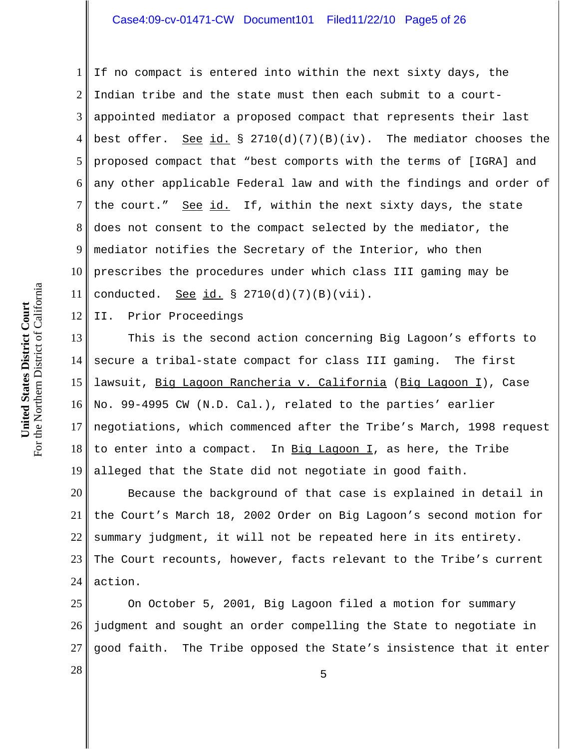1 2 3 4 5 6 7 8 9 10 11 If no compact is entered into within the next sixty days, the Indian tribe and the state must then each submit to a courtappointed mediator a proposed compact that represents their last best offer. See id. § 2710(d)(7)(B)(iv). The mediator chooses the proposed compact that "best comports with the terms of [IGRA] and any other applicable Federal law and with the findings and order of the court." See id. If, within the next sixty days, the state does not consent to the compact selected by the mediator, the mediator notifies the Secretary of the Interior, who then prescribes the procedures under which class III gaming may be conducted. See  $id.$  § 2710(d)(7)(B)(vii).

12 II. Prior Proceedings

13 14 15 16 17 18 19 This is the second action concerning Big Lagoon's efforts to secure a tribal-state compact for class III gaming. The first lawsuit, Big Lagoon Rancheria v. California (Big Lagoon I), Case No. 99-4995 CW (N.D. Cal.), related to the parties' earlier negotiations, which commenced after the Tribe's March, 1998 request to enter into a compact. In Big Lagoon  $I$ , as here, the Tribe alleged that the State did not negotiate in good faith.

20 21 22 23 24 Because the background of that case is explained in detail in the Court's March 18, 2002 Order on Big Lagoon's second motion for summary judgment, it will not be repeated here in its entirety. The Court recounts, however, facts relevant to the Tribe's current action.

25 26 27 On October 5, 2001, Big Lagoon filed a motion for summary judgment and sought an order compelling the State to negotiate in good faith. The Tribe opposed the State's insistence that it enter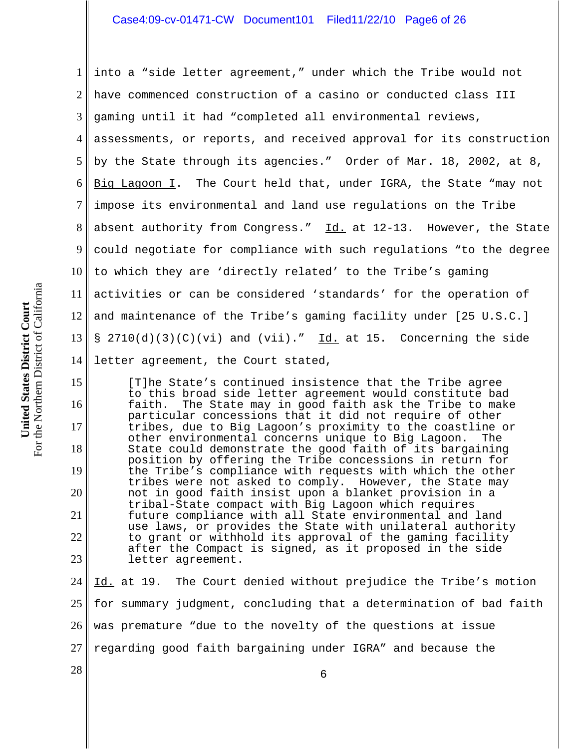1 2 3 4 5 6 7 8 9 10 11 12 13 14 into a "side letter agreement," under which the Tribe would not have commenced construction of a casino or conducted class III gaming until it had "completed all environmental reviews, assessments, or reports, and received approval for its construction by the State through its agencies." Order of Mar. 18, 2002, at 8, Big Lagoon I. The Court held that, under IGRA, the State "may not impose its environmental and land use regulations on the Tribe absent authority from Congress."  $\underline{Id.}$  at 12-13. However, the State could negotiate for compliance with such regulations "to the degree to which they are 'directly related' to the Tribe's gaming activities or can be considered 'standards' for the operation of and maintenance of the Tribe's gaming facility under [25 U.S.C.] §  $2710(d)(3)(C)(vi)$  and  $(vii)$ ." Id. at 15. Concerning the side letter agreement, the Court stated,

[T]he State's continued insistence that the Tribe agree to this broad side letter agreement would constitute bad faith. The State may in good faith ask the Tribe to make particular concessions that it did not require of other tribes, due to Big Lagoon's proximity to the coastline or other environmental concerns unique to Big Lagoon. The State could demonstrate the good faith of its bargaining position by offering the Tribe concessions in return for the Tribe's compliance with requests with which the other tribes were not asked to comply. However, the State may not in good faith insist upon a blanket provision in a tribal-State compact with Big Lagoon which requires future compliance with all State environmental and land use laws, or provides the State with unilateral authority to grant or withhold its approval of the gaming facility after the Compact is signed, as it proposed in the side letter agreement.

24 25 26 27 Id. at 19. The Court denied without prejudice the Tribe's motion for summary judgment, concluding that a determination of bad faith was premature "due to the novelty of the questions at issue regarding good faith bargaining under IGRA" and because the

 $\begin{array}{c|c|c|c|c} \hline \text{28} & \text{6} \end{array}$ 

For the Northern District of California For the Northern District of California United States District Court **United States District Court**

15

16

17

18

19

20

21

22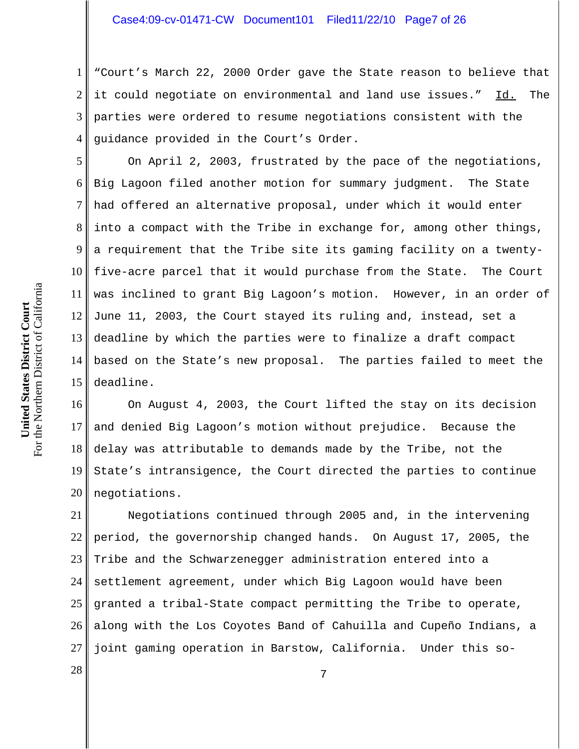1 2 3 4 "Court's March 22, 2000 Order gave the State reason to believe that it could negotiate on environmental and land use issues." Id. The parties were ordered to resume negotiations consistent with the guidance provided in the Court's Order.

5 6 7 8 9 10 11 12 13 14 15 On April 2, 2003, frustrated by the pace of the negotiations, Big Lagoon filed another motion for summary judgment. The State had offered an alternative proposal, under which it would enter into a compact with the Tribe in exchange for, among other things, a requirement that the Tribe site its gaming facility on a twentyfive-acre parcel that it would purchase from the State. The Court was inclined to grant Big Lagoon's motion. However, in an order of June 11, 2003, the Court stayed its ruling and, instead, set a deadline by which the parties were to finalize a draft compact based on the State's new proposal. The parties failed to meet the deadline.

16 17 18 19 20 On August 4, 2003, the Court lifted the stay on its decision and denied Big Lagoon's motion without prejudice. Because the delay was attributable to demands made by the Tribe, not the State's intransigence, the Court directed the parties to continue negotiations.

21 22 23 24 25 26 27 Negotiations continued through 2005 and, in the intervening period, the governorship changed hands. On August 17, 2005, the Tribe and the Schwarzenegger administration entered into a settlement agreement, under which Big Lagoon would have been granted a tribal-State compact permitting the Tribe to operate, along with the Los Coyotes Band of Cahuilla and Cupeño Indians, a joint gaming operation in Barstow, California. Under this so-

 $\begin{array}{c|c|c|c} 28 & & & & & 7 \end{array}$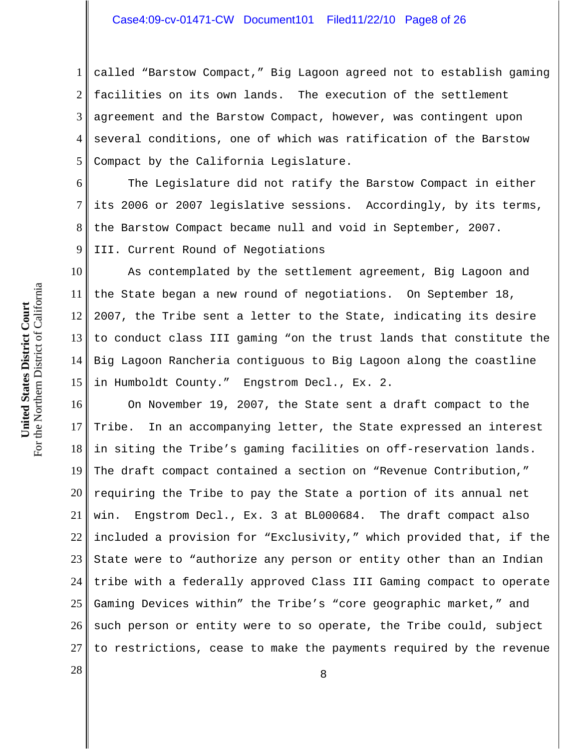## Case4:09-cv-01471-CW Document101 Filed11/22/10 Page8 of 26

1 2 3 4 5 called "Barstow Compact," Big Lagoon agreed not to establish gaming facilities on its own lands. The execution of the settlement agreement and the Barstow Compact, however, was contingent upon several conditions, one of which was ratification of the Barstow Compact by the California Legislature.

6 7 8 9 The Legislature did not ratify the Barstow Compact in either its 2006 or 2007 legislative sessions. Accordingly, by its terms, the Barstow Compact became null and void in September, 2007. III. Current Round of Negotiations

10 11 12 13 14 15 As contemplated by the settlement agreement, Big Lagoon and the State began a new round of negotiations. On September 18, 2007, the Tribe sent a letter to the State, indicating its desire to conduct class III gaming "on the trust lands that constitute the Big Lagoon Rancheria contiguous to Big Lagoon along the coastline in Humboldt County." Engstrom Decl., Ex. 2.

16 17 18 19 20 21 22 23 24 25 26 27 On November 19, 2007, the State sent a draft compact to the Tribe. In an accompanying letter, the State expressed an interest in siting the Tribe's gaming facilities on off-reservation lands. The draft compact contained a section on "Revenue Contribution," requiring the Tribe to pay the State a portion of its annual net win. Engstrom Decl., Ex. 3 at BL000684. The draft compact also included a provision for "Exclusivity," which provided that, if the State were to "authorize any person or entity other than an Indian tribe with a federally approved Class III Gaming compact to operate Gaming Devices within" the Tribe's "core geographic market," and such person or entity were to so operate, the Tribe could, subject to restrictions, cease to make the payments required by the revenue

 $\begin{array}{c|c|c|c|c} \hline 28 & & & 8 \ \hline \end{array}$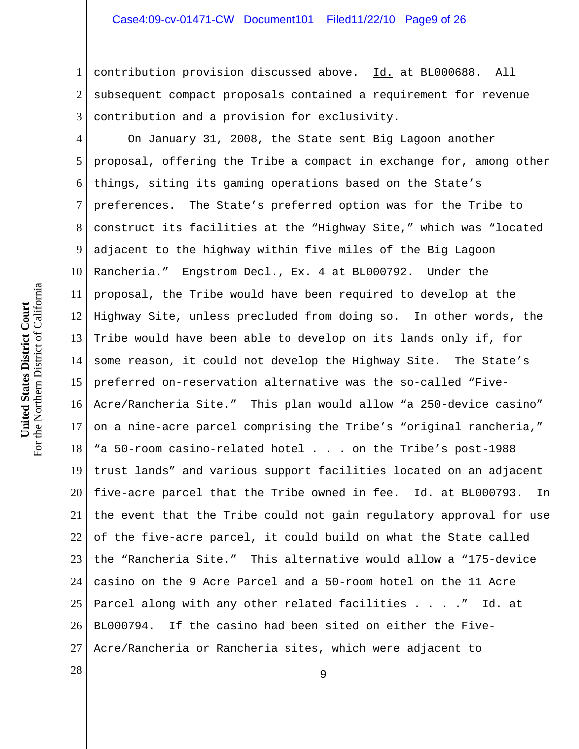1 2 3 contribution provision discussed above. Id. at BL000688. All subsequent compact proposals contained a requirement for revenue contribution and a provision for exclusivity.

4 5 6 7 8 9 10 11 12 13 14 15 16 17 18 19 20 21 22 23 24 25 26 27 On January 31, 2008, the State sent Big Lagoon another proposal, offering the Tribe a compact in exchange for, among other things, siting its gaming operations based on the State's preferences. The State's preferred option was for the Tribe to construct its facilities at the "Highway Site," which was "located adjacent to the highway within five miles of the Big Lagoon Rancheria." Engstrom Decl., Ex. 4 at BL000792. Under the proposal, the Tribe would have been required to develop at the Highway Site, unless precluded from doing so. In other words, the Tribe would have been able to develop on its lands only if, for some reason, it could not develop the Highway Site. The State's preferred on-reservation alternative was the so-called "Five-Acre/Rancheria Site." This plan would allow "a 250-device casino" on a nine-acre parcel comprising the Tribe's "original rancheria," "a 50-room casino-related hotel . . . on the Tribe's post-1988 trust lands" and various support facilities located on an adjacent five-acre parcel that the Tribe owned in fee. Id. at BL000793. In the event that the Tribe could not gain regulatory approval for use of the five-acre parcel, it could build on what the State called the "Rancheria Site." This alternative would allow a "175-device casino on the 9 Acre Parcel and a 50-room hotel on the 11 Acre Parcel along with any other related facilities . . . . " Id. at BL000794. If the casino had been sited on either the Five-Acre/Rancheria or Rancheria sites, which were adjacent to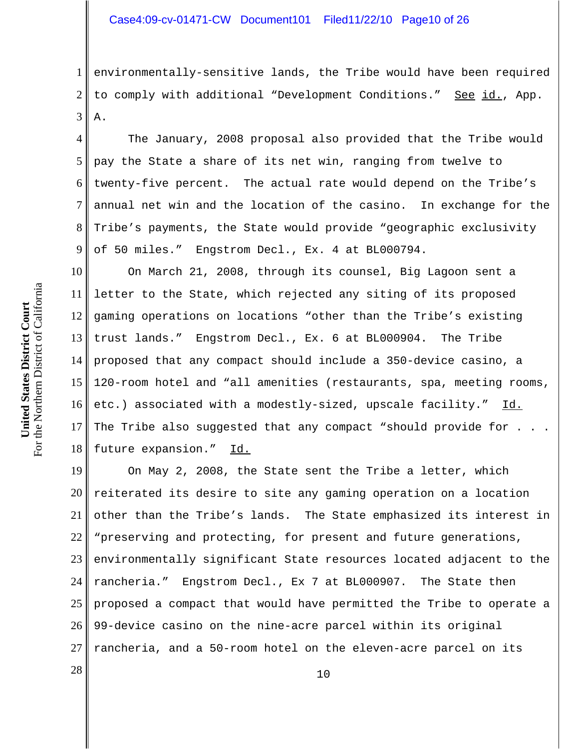1 2 3 environmentally-sensitive lands, the Tribe would have been required to comply with additional "Development Conditions." See id., App. A.

4 6 7 8 9 The January, 2008 proposal also provided that the Tribe would pay the State a share of its net win, ranging from twelve to twenty-five percent. The actual rate would depend on the Tribe's annual net win and the location of the casino. In exchange for the Tribe's payments, the State would provide "geographic exclusivity of 50 miles." Engstrom Decl., Ex. 4 at BL000794.

10 11 12 13 14 15 16 17 18 On March 21, 2008, through its counsel, Big Lagoon sent a letter to the State, which rejected any siting of its proposed gaming operations on locations "other than the Tribe's existing trust lands." Engstrom Decl., Ex. 6 at BL000904. The Tribe proposed that any compact should include a 350-device casino, a 120-room hotel and "all amenities (restaurants, spa, meeting rooms, etc.) associated with a modestly-sized, upscale facility." Id. The Tribe also suggested that any compact "should provide for. future expansion." Id.

19 20 21 22 23 24 25 26 27 On May 2, 2008, the State sent the Tribe a letter, which reiterated its desire to site any gaming operation on a location other than the Tribe's lands. The State emphasized its interest in "preserving and protecting, for present and future generations, environmentally significant State resources located adjacent to the rancheria." Engstrom Decl., Ex 7 at BL000907. The State then proposed a compact that would have permitted the Tribe to operate a 99-device casino on the nine-acre parcel within its original rancheria, and a 50-room hotel on the eleven-acre parcel on its

5

 $\begin{array}{c|c|c|c} 28 & 10 \end{array}$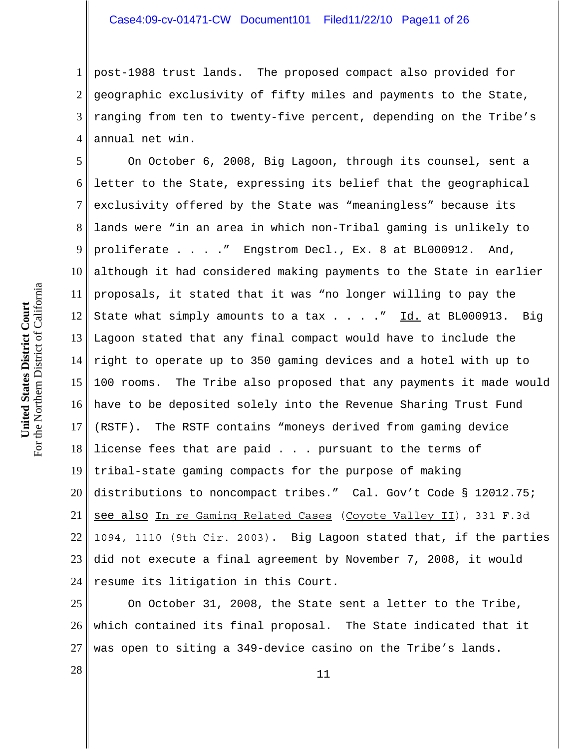## Case4:09-cv-01471-CW Document101 Filed11/22/10 Page11 of 26

1 2 3 4 post-1988 trust lands. The proposed compact also provided for geographic exclusivity of fifty miles and payments to the State, ranging from ten to twenty-five percent, depending on the Tribe's annual net win.

5 6 7 8 9 10 11 12 13 14 15 16 17 18 19 20 21 22 23 24 On October 6, 2008, Big Lagoon, through its counsel, sent a letter to the State, expressing its belief that the geographical exclusivity offered by the State was "meaningless" because its lands were "in an area in which non-Tribal gaming is unlikely to proliferate . . . ." Engstrom Decl., Ex. 8 at BL000912. And, although it had considered making payments to the State in earlier proposals, it stated that it was "no longer willing to pay the State what simply amounts to a tax  $\ldots$  ...  $\overline{Id}$  at BL000913. Big Lagoon stated that any final compact would have to include the right to operate up to 350 gaming devices and a hotel with up to 100 rooms. The Tribe also proposed that any payments it made would have to be deposited solely into the Revenue Sharing Trust Fund (RSTF). The RSTF contains "moneys derived from gaming device license fees that are paid . . . pursuant to the terms of tribal-state gaming compacts for the purpose of making distributions to noncompact tribes." Cal. Gov't Code § 12012.75; see also In re Gaming Related Cases (Coyote Valley II), 331 F.3d 1094, 1110 (9th Cir. 2003). Big Lagoon stated that, if the parties did not execute a final agreement by November 7, 2008, it would resume its litigation in this Court.

25 26 27 On October 31, 2008, the State sent a letter to the Tribe, which contained its final proposal. The State indicated that it was open to siting a 349-device casino on the Tribe's lands.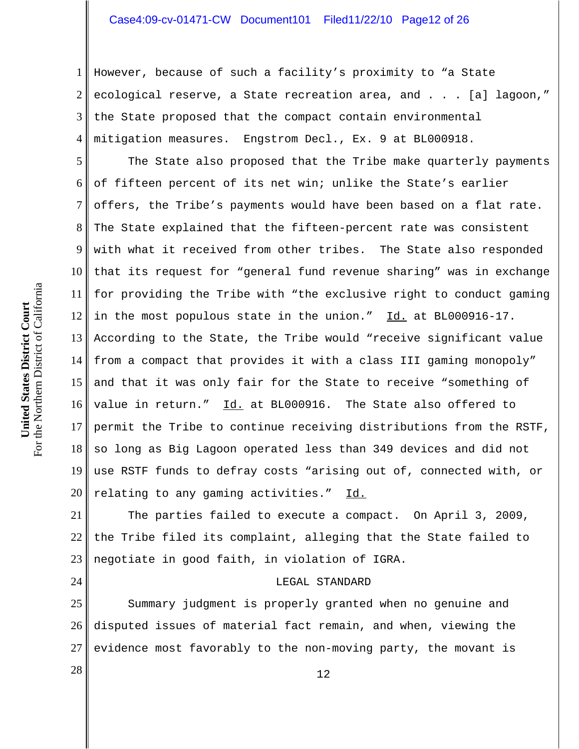# Case4:09-cv-01471-CW Document101 Filed11/22/10 Page12 of 26

1 2 3 4 However, because of such a facility's proximity to "a State ecological reserve, a State recreation area, and . . . [a] lagoon," the State proposed that the compact contain environmental mitigation measures. Engstrom Decl., Ex. 9 at BL000918.

5 6 7 8 9 10 11 12 13 14 15 16 17 18 19 20 The State also proposed that the Tribe make quarterly payments of fifteen percent of its net win; unlike the State's earlier offers, the Tribe's payments would have been based on a flat rate. The State explained that the fifteen-percent rate was consistent with what it received from other tribes. The State also responded that its request for "general fund revenue sharing" was in exchange for providing the Tribe with "the exclusive right to conduct gaming in the most populous state in the union." Id. at BL000916-17. According to the State, the Tribe would "receive significant value from a compact that provides it with a class III gaming monopoly" and that it was only fair for the State to receive "something of value in return." Id. at BL000916. The State also offered to permit the Tribe to continue receiving distributions from the RSTF, so long as Big Lagoon operated less than 349 devices and did not use RSTF funds to defray costs "arising out of, connected with, or relating to any gaming activities." Id.

21 22 23 The parties failed to execute a compact. On April 3, 2009, the Tribe filed its complaint, alleging that the State failed to negotiate in good faith, in violation of IGRA.

#### LEGAL STANDARD

25 26 27 Summary judgment is properly granted when no genuine and disputed issues of material fact remain, and when, viewing the evidence most favorably to the non-moving party, the movant is

24

 $\begin{array}{c|c|c|c} \hline 28 & & 12 \end{array}$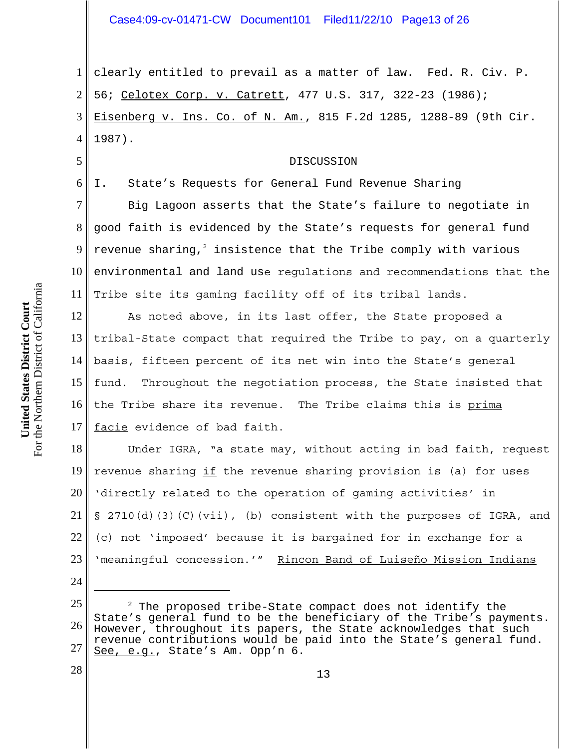1 2 3 4 clearly entitled to prevail as a matter of law. Fed. R. Civ. P. 56; Celotex Corp. v. Catrett, 477 U.S. 317, 322-23 (1986); Eisenberg v. Ins. Co. of N. Am., 815 F.2d 1285, 1288-89 (9th Cir. 1987).

#### DISCUSSION

6

5

I. State's Requests for General Fund Revenue Sharing

7 8 9 10 11 Big Lagoon asserts that the State's failure to negotiate in good faith is evidenced by the State's requests for general fund revenue sharing, $^2$  insistence that the Tribe comply with various environmental and land use regulations and recommendations that the Tribe site its gaming facility off of its tribal lands.

12 13 14 15 16 17 As noted above, in its last offer, the State proposed a tribal-State compact that required the Tribe to pay, on a quarterly basis, fifteen percent of its net win into the State's general fund. Throughout the negotiation process, the State insisted that the Tribe share its revenue. The Tribe claims this is prima facie evidence of bad faith.

18 19 20 21 22 23 Under IGRA, "a state may, without acting in bad faith, request revenue sharing  $if$  the revenue sharing provision is (a) for uses 'directly related to the operation of gaming activities' in § 2710(d)(3)(C)(vii), (b) consistent with the purposes of IGRA, and (c) not 'imposed' because it is bargained for in exchange for a 'meaningful concession.'" Rincon Band of Luiseño Mission Indians

25 26 27  $2$  The proposed tribe-State compact does not identify the State's general fund to be the beneficiary of the Tribe's payments. However, throughout its papers, the State acknowledges that such revenue contributions would be paid into the State's general fund. See, e.g., State's Am. Opp'n 6.

13

24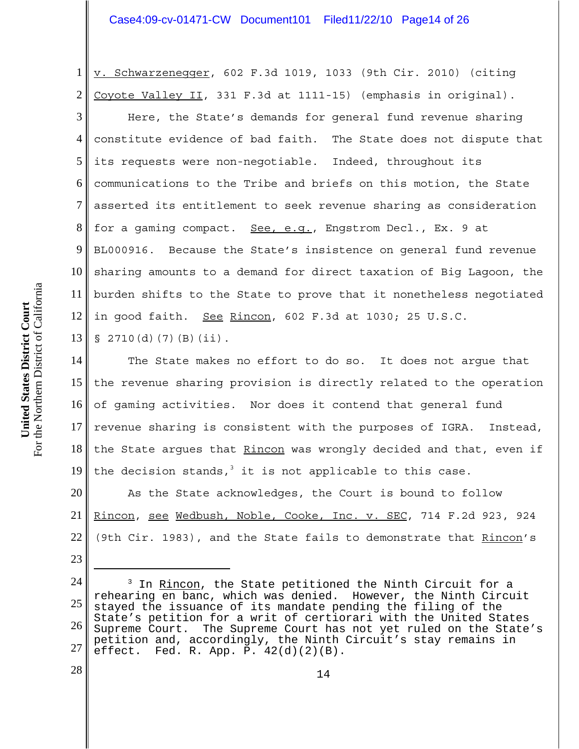## Case4:09-cv-01471-CW Document101 Filed11/22/10 Page14 of 26

1 2 3 4 5 6 7 8 9 10 11 12 v. Schwarzenegger, 602 F.3d 1019, 1033 (9th Cir. 2010) (citing Coyote Valley II, 331 F.3d at 1111-15) (emphasis in original). Here, the State's demands for general fund revenue sharing constitute evidence of bad faith. The State does not dispute that its requests were non-negotiable. Indeed, throughout its communications to the Tribe and briefs on this motion, the State asserted its entitlement to seek revenue sharing as consideration for a gaming compact. See, e.g., Engstrom Decl., Ex. 9 at BL000916. Because the State's insistence on general fund revenue sharing amounts to a demand for direct taxation of Big Lagoon, the burden shifts to the State to prove that it nonetheless negotiated in good faith. See Rincon, 602 F.3d at 1030; 25 U.S.C.

13  $\S$  2710(d)(7)(B)(ii).

14 15 16 17 18 19 The State makes no effort to do so. It does not argue that the revenue sharing provision is directly related to the operation of gaming activities. Nor does it contend that general fund revenue sharing is consistent with the purposes of IGRA. Instead, the State argues that Rincon was wrongly decided and that, even if the decision stands, $3$  it is not applicable to this case.

20 21 22 As the State acknowledges, the Court is bound to follow Rincon, see Wedbush, Noble, Cooke, Inc. v. SEC, 714 F.2d 923, 924 (9th Cir. 1983), and the State fails to demonstrate that Rincon's

23

<sup>24</sup> 25 26 27 <sup>3</sup> In <u>Rincon</u>, the State petitioned the Ninth Circuit for a rehearing en banc, which was denied. However, the Ninth Circuit stayed the issuance of its mandate pending the filing of the State's petition for a writ of certiorari with the United States Supreme Court. The Supreme Court has not yet ruled on the State's petition and, accordingly, the Ninth Circuit's stay remains in effect. Fed. R. App. P.  $42(d)(2)(B)$ .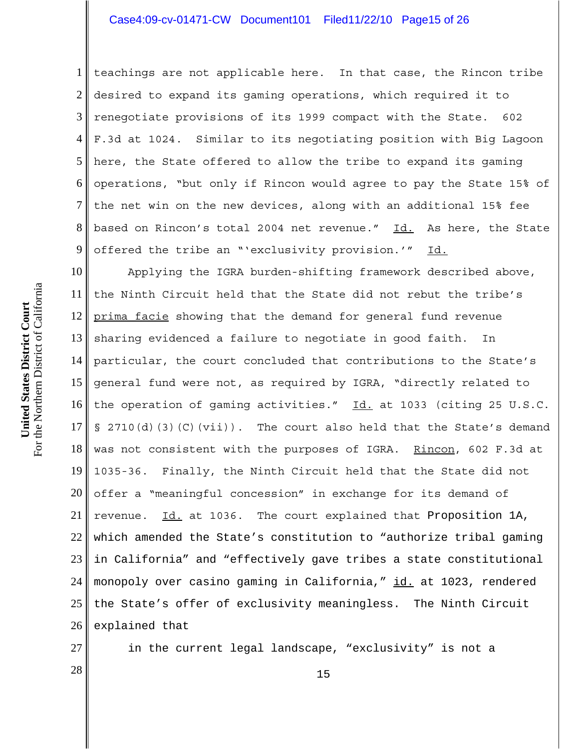## Case4:09-cv-01471-CW Document101 Filed11/22/10 Page15 of 26

1 2 3 4 5 6 7 8 9 teachings are not applicable here. In that case, the Rincon tribe desired to expand its gaming operations, which required it to renegotiate provisions of its 1999 compact with the State. 602 F.3d at 1024. Similar to its negotiating position with Big Lagoon here, the State offered to allow the tribe to expand its gaming operations, "but only if Rincon would agree to pay the State 15% of the net win on the new devices, along with an additional 15% fee based on Rincon's total 2004 net revenue." Id. As here, the State offered the tribe an "'exclusivity provision.'" Id.

10 11 12 13 14 15 16 17 18 19 20 21 22 23 24 25 26 Applying the IGRA burden-shifting framework described above, the Ninth Circuit held that the State did not rebut the tribe's prima facie showing that the demand for general fund revenue sharing evidenced a failure to negotiate in good faith. In particular, the court concluded that contributions to the State's general fund were not, as required by IGRA, "directly related to the operation of gaming activities." Id. at 1033 (citing 25 U.S.C.  $\S$  2710(d)(3)(C)(vii)). The court also held that the State's demand was not consistent with the purposes of IGRA. Rincon, 602 F.3d at 1035-36. Finally, the Ninth Circuit held that the State did not offer a "meaningful concession" in exchange for its demand of revenue. Id. at 1036. The court explained that Proposition 1A, which amended the State's constitution to "authorize tribal gaming in California" and "effectively gave tribes a state constitutional monopoly over casino gaming in California," id. at 1023, rendered the State's offer of exclusivity meaningless. The Ninth Circuit explained that

27

in the current legal landscape, "exclusivity" is not a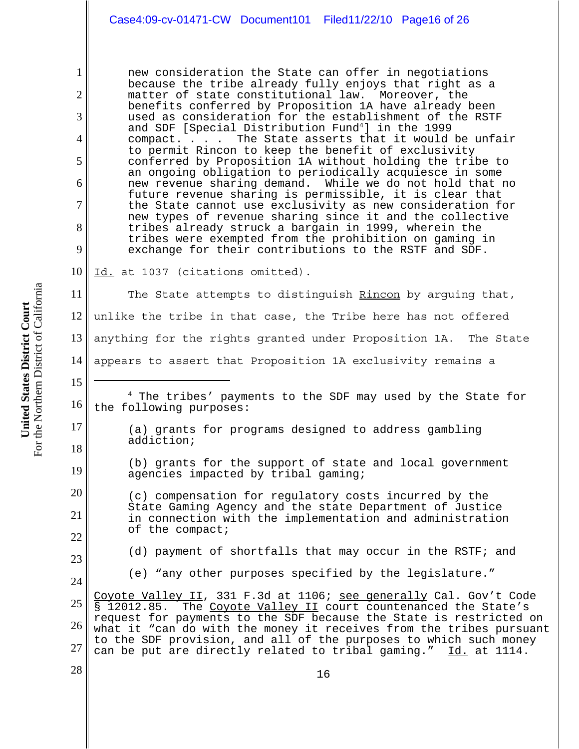new consideration the State can offer in negotiations because the tribe already fully enjoys that right as a matter of state constitutional law. Moreover, the benefits conferred by Proposition 1A have already been used as consideration for the establishment of the RSTF and SDF [Special Distribution Fund<sup>4</sup>] in the 1999 compact. . . . The State asserts that it would be unfair to permit Rincon to keep the benefit of exclusivity conferred by Proposition 1A without holding the tribe to an ongoing obligation to periodically acquiesce in some<br>new revenue sharing demand. While we do not hold that i While we do not hold that no future revenue sharing is permissible, it is clear that the State cannot use exclusivity as new consideration for new types of revenue sharing since it and the collective tribes already struck a bargain in 1999, wherein the tribes were exempted from the prohibition on gaming in exchange for their contributions to the RSTF and SDF.

10 Id. at 1037 (citations omitted).

11 12 13 14 15 The State attempts to distinguish Rincon by arguing that, unlike the tribe in that case, the Tribe here has not offered anything for the rights granted under Proposition 1A. The State appears to assert that Proposition 1A exclusivity remains a

4 The tribes' payments to the SDF may used by the State for the following purposes:

(a) grants for programs designed to address gambling addiction;

(b) grants for the support of state and local government agencies impacted by tribal gaming;

(c) compensation for regulatory costs incurred by the State Gaming Agency and the state Department of Justice in connection with the implementation and administration of the compact;

(d) payment of shortfalls that may occur in the RSTF; and

(e) "any other purposes specified by the legislature."

25 26 27 Coyote Valley II, 331 F.3d at 1106; see generally Cal. Gov't Code § 12012.85. The Coyote Valley II court countenanced the State's request for payments to the SDF because the State is restricted on what it "can do with the money it receives from the tribes pursuant to the SDF provision, and all of the purposes to which such money can be put are directly related to tribal gaming." Id. at 1114.

For the Northern District of California For the Northern District of California United States District Court **United States District Court**

1

2

3

4

5

6

7

8

9

16

17

18

19

20

21

22

23

24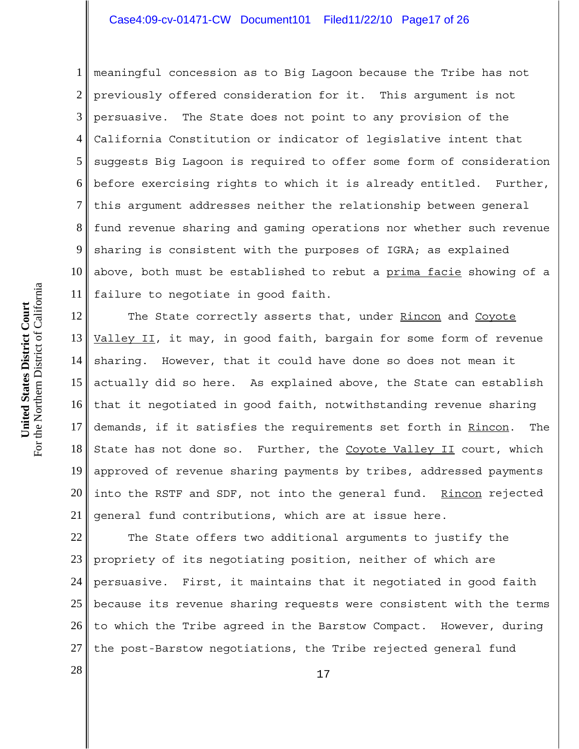# Case4:09-cv-01471-CW Document101 Filed11/22/10 Page17 of 26

1 2 3 4 5 6 7 8 9 10 11 meaningful concession as to Big Lagoon because the Tribe has not previously offered consideration for it. This argument is not persuasive. The State does not point to any provision of the California Constitution or indicator of legislative intent that suggests Big Lagoon is required to offer some form of consideration before exercising rights to which it is already entitled. Further, this argument addresses neither the relationship between general fund revenue sharing and gaming operations nor whether such revenue sharing is consistent with the purposes of IGRA; as explained above, both must be established to rebut a prima facie showing of a failure to negotiate in good faith.

12 13 14 15 16 17 18 19 20 21 The State correctly asserts that, under Rincon and Coyote Valley II, it may, in good faith, bargain for some form of revenue sharing. However, that it could have done so does not mean it actually did so here. As explained above, the State can establish that it negotiated in good faith, notwithstanding revenue sharing demands, if it satisfies the requirements set forth in Rincon. The State has not done so. Further, the Coyote Valley II court, which approved of revenue sharing payments by tribes, addressed payments into the RSTF and SDF, not into the general fund. Rincon rejected general fund contributions, which are at issue here.

22 23 24 25 26 27 The State offers two additional arguments to justify the propriety of its negotiating position, neither of which are persuasive. First, it maintains that it negotiated in good faith because its revenue sharing requests were consistent with the terms to which the Tribe agreed in the Barstow Compact. However, during the post-Barstow negotiations, the Tribe rejected general fund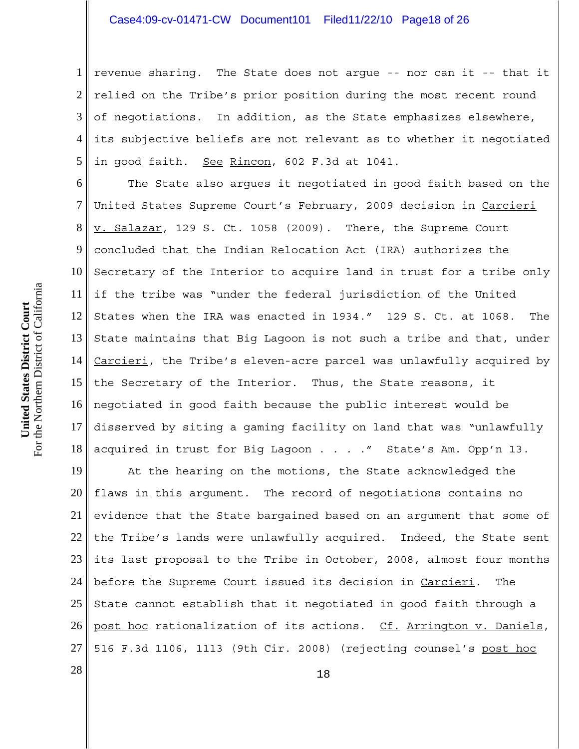## Case4:09-cv-01471-CW Document101 Filed11/22/10 Page18 of 26

1 2 3 4 5 revenue sharing. The State does not argue -- nor can it -- that it relied on the Tribe's prior position during the most recent round of negotiations. In addition, as the State emphasizes elsewhere, its subjective beliefs are not relevant as to whether it negotiated in good faith. See Rincon, 602 F.3d at 1041.

6 7 8 9 10 11 12 13 14 15 16 17 18 The State also argues it negotiated in good faith based on the United States Supreme Court's February, 2009 decision in Carcieri v. Salazar, 129 S. Ct. 1058 (2009). There, the Supreme Court concluded that the Indian Relocation Act (IRA) authorizes the Secretary of the Interior to acquire land in trust for a tribe only if the tribe was "under the federal jurisdiction of the United States when the IRA was enacted in 1934." 129 S. Ct. at 1068. The State maintains that Big Lagoon is not such a tribe and that, under Carcieri, the Tribe's eleven-acre parcel was unlawfully acquired by the Secretary of the Interior. Thus, the State reasons, it negotiated in good faith because the public interest would be disserved by siting a gaming facility on land that was "unlawfully acquired in trust for Big Lagoon . . . ." State's Am. Opp'n 13.

19 20 21 22 23 24 25 26 27 At the hearing on the motions, the State acknowledged the flaws in this argument. The record of negotiations contains no evidence that the State bargained based on an argument that some of the Tribe's lands were unlawfully acquired. Indeed, the State sent its last proposal to the Tribe in October, 2008, almost four months before the Supreme Court issued its decision in Carcieri. The State cannot establish that it negotiated in good faith through a post hoc rationalization of its actions. Cf. Arrington v. Daniels, 516 F.3d 1106, 1113 (9th Cir. 2008) (rejecting counsel's post hoc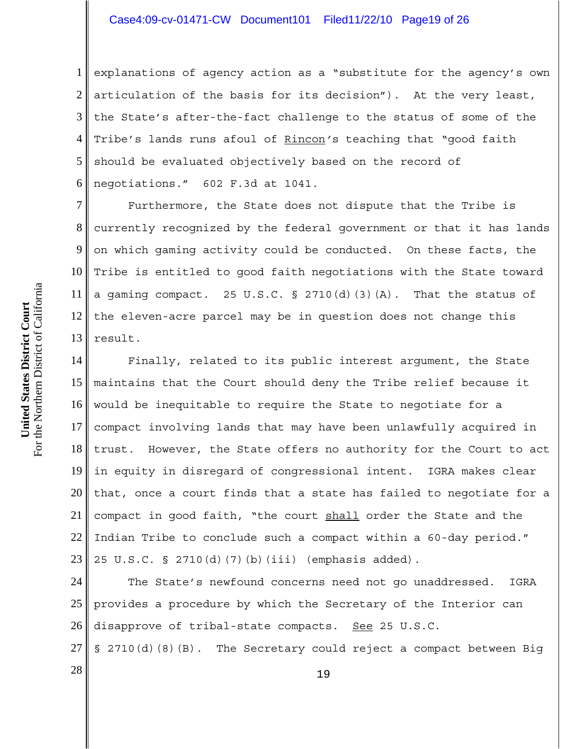## Case4:09-cv-01471-CW Document101 Filed11/22/10 Page19 of 26

1 2 3 4 5 6 explanations of agency action as a "substitute for the agency's own articulation of the basis for its decision"). At the very least, the State's after-the-fact challenge to the status of some of the Tribe's lands runs afoul of Rincon*'*s teaching that "good faith should be evaluated objectively based on the record of negotiations." 602 F.3d at 1041.

7 8 9 10 11 12 13 Furthermore, the State does not dispute that the Tribe is currently recognized by the federal government or that it has lands on which gaming activity could be conducted. On these facts, the Tribe is entitled to good faith negotiations with the State toward a gaming compact. 25 U.S.C. § 2710(d)(3)(A). That the status of the eleven-acre parcel may be in question does not change this result.

14 15 16 17 18 19 20 21 22 23 Finally, related to its public interest argument, the State maintains that the Court should deny the Tribe relief because it would be inequitable to require the State to negotiate for a compact involving lands that may have been unlawfully acquired in trust. However, the State offers no authority for the Court to act in equity in disregard of congressional intent. IGRA makes clear that, once a court finds that a state has failed to negotiate for a compact in good faith, "the court shall order the State and the Indian Tribe to conclude such a compact within a 60-day period." 25 U.S.C. § 2710(d)(7)(b)(iii) (emphasis added).

24 25 26 The State's newfound concerns need not go unaddressed. IGRA provides a procedure by which the Secretary of the Interior can disapprove of tribal-state compacts. See 25 U.S.C.

27 § 2710(d)(8)(B). The Secretary could reject a compact between Big

 $\begin{array}{c|c|c|c} \hline 28 & & & 19 \ \hline \end{array}$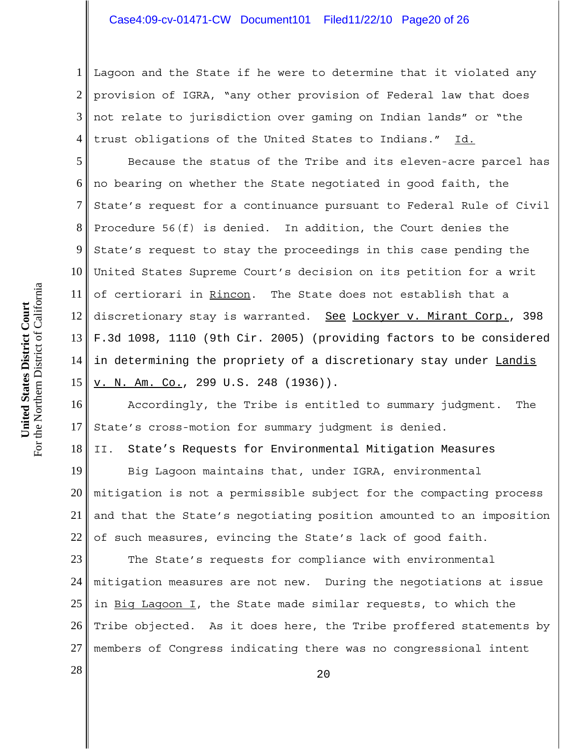## Case4:09-cv-01471-CW Document101 Filed11/22/10 Page20 of 26

1 2 3 4 Lagoon and the State if he were to determine that it violated any provision of IGRA, "any other provision of Federal law that does not relate to jurisdiction over gaming on Indian lands" or "the trust obligations of the United States to Indians." Id.

5 6 7 8 9 10 11 12 13 14 15 Because the status of the Tribe and its eleven-acre parcel has no bearing on whether the State negotiated in good faith, the State's request for a continuance pursuant to Federal Rule of Civil Procedure 56(f) is denied. In addition, the Court denies the State's request to stay the proceedings in this case pending the United States Supreme Court's decision on its petition for a writ of certiorari in Rincon. The State does not establish that a discretionary stay is warranted. See Lockyer v. Mirant Corp., 398 F.3d 1098, 1110 (9th Cir. 2005) (providing factors to be considered in determining the propriety of a discretionary stay under Landis v. N. Am. Co., 299 U.S. 248 (1936)).

16 17 Accordingly, the Tribe is entitled to summary judgment. The State's cross-motion for summary judgment is denied.

18 II. State's Requests for Environmental Mitigation Measures

19 20 21 22 Big Lagoon maintains that, under IGRA, environmental mitigation is not a permissible subject for the compacting process and that the State's negotiating position amounted to an imposition of such measures, evincing the State's lack of good faith.

23 24 25 26 27 The State's requests for compliance with environmental mitigation measures are not new. During the negotiations at issue in Big Lagoon I, the State made similar requests, to which the Tribe objected. As it does here, the Tribe proffered statements by members of Congress indicating there was no congressional intent

 $\begin{array}{|c|c|c|c|c|}\n \hline\n 28 & 20 \\
\hline\n \end{array}$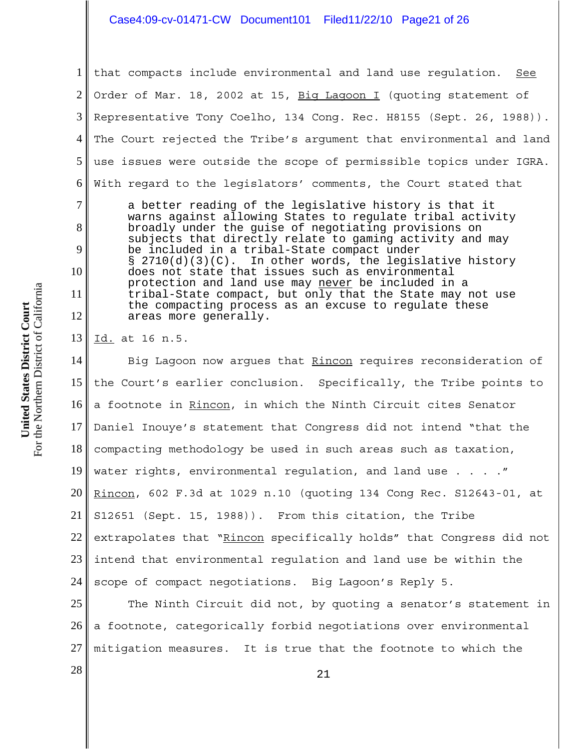#### Case4:09-cv-01471-CW Document101 Filed11/22/10 Page21 of 26

1 2 3 4 5 6 7 8 9 10 11 12 that compacts include environmental and land use regulation. See Order of Mar. 18, 2002 at 15, Big Lagoon I (quoting statement of Representative Tony Coelho, 134 Cong. Rec. H8155 (Sept. 26, 1988)). The Court rejected the Tribe's argument that environmental and land use issues were outside the scope of permissible topics under IGRA. With regard to the legislators' comments, the Court stated that a better reading of the legislative history is that it warns against allowing States to regulate tribal activity broadly under the guise of negotiating provisions on subjects that directly relate to gaming activity and may be included in a tribal-State compact under § 2710(d)(3)(C). In other words, the legislative history does not state that issues such as environmental protection and land use may never be included in a tribal-State compact, but only that the State may not use the compacting process as an excuse to regulate these areas more generally.

13 Id. at 16 n.5.

14 15 16 17 18 19 20 21 22 23 24 Big Lagoon now argues that Rincon requires reconsideration of the Court's earlier conclusion. Specifically, the Tribe points to a footnote in Rincon, in which the Ninth Circuit cites Senator Daniel Inouye's statement that Congress did not intend "that the compacting methodology be used in such areas such as taxation, water rights, environmental regulation, and land use . . . . " Rincon, 602 F.3d at 1029 n.10 (quoting 134 Cong Rec. S12643-01, at S12651 (Sept. 15, 1988)). From this citation, the Tribe extrapolates that "Rincon specifically holds" that Congress did not intend that environmental regulation and land use be within the scope of compact negotiations. Big Lagoon's Reply 5.

25 26 27 The Ninth Circuit did not, by quoting a senator's statement in a footnote, categorically forbid negotiations over environmental mitigation measures. It is true that the footnote to which the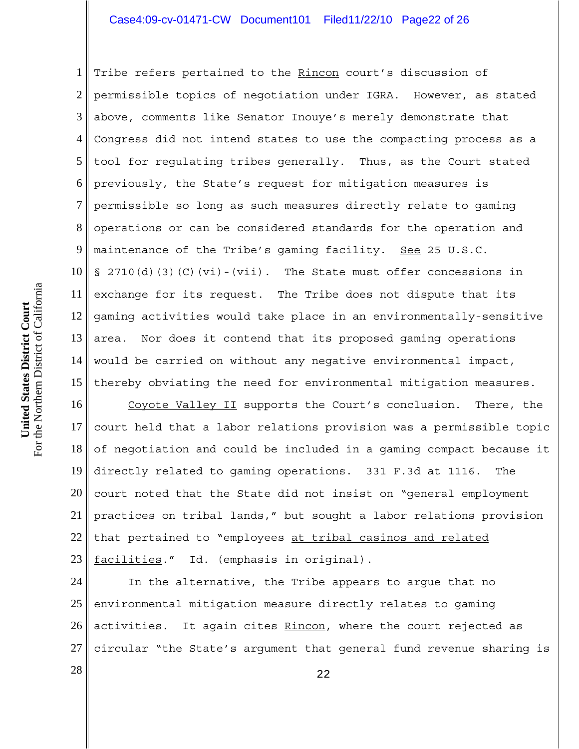# Case4:09-cv-01471-CW Document101 Filed11/22/10 Page22 of 26

1 2 3 4 5 6 7 8 9 10 11 12 13 14 15 Tribe refers pertained to the Rincon court's discussion of permissible topics of negotiation under IGRA. However, as stated above, comments like Senator Inouye's merely demonstrate that Congress did not intend states to use the compacting process as a tool for regulating tribes generally. Thus, as the Court stated previously, the State's request for mitigation measures is permissible so long as such measures directly relate to gaming operations or can be considered standards for the operation and maintenance of the Tribe's qaming facility. See 25 U.S.C.  $\S$  2710(d)(3)(C)(vi)-(vii). The State must offer concessions in exchange for its request. The Tribe does not dispute that its gaming activities would take place in an environmentally-sensitive area. Nor does it contend that its proposed gaming operations would be carried on without any negative environmental impact, thereby obviating the need for environmental mitigation measures.

16 17 18 19 20 21 22 23 Coyote Valley II supports the Court's conclusion. There, the court held that a labor relations provision was a permissible topic of negotiation and could be included in a gaming compact because it directly related to gaming operations. 331 F.3d at 1116. The court noted that the State did not insist on "general employment practices on tribal lands," but sought a labor relations provision that pertained to "employees at tribal casinos and related facilities." Id. (emphasis in original).

24 25 26 27 In the alternative, the Tribe appears to argue that no environmental mitigation measure directly relates to gaming activities. It again cites Rincon, where the court rejected as circular "the State's argument that general fund revenue sharing is

 $\begin{array}{|c|c|c|c|c|}\n \hline\n 22 & 22 \\
\hline\n \end{array}$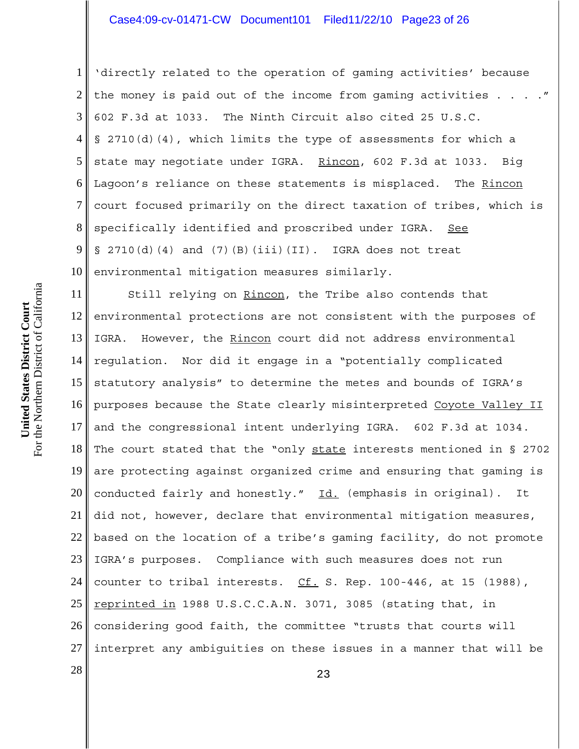## Case4:09-cv-01471-CW Document101 Filed11/22/10 Page23 of 26

1 2 3 4 5 6 7 8 9 10 'directly related to the operation of gaming activities' because the money is paid out of the income from gaming activities . . . . " 602 F.3d at 1033. The Ninth Circuit also cited 25 U.S.C. § 2710(d)(4), which limits the type of assessments for which a state may negotiate under IGRA. Rincon, 602 F.3d at 1033. Big Lagoon's reliance on these statements is misplaced. The Rincon court focused primarily on the direct taxation of tribes, which is specifically identified and proscribed under IGRA. See  $\S$  2710(d)(4) and (7)(B)(iii)(II). IGRA does not treat environmental mitigation measures similarly.

11 12 13 14 15 16 17 18 19 20 21 22 23 24 25 26 27 Still relying on Rincon, the Tribe also contends that environmental protections are not consistent with the purposes of IGRA. However, the Rincon court did not address environmental regulation. Nor did it engage in a "potentially complicated statutory analysis" to determine the metes and bounds of IGRA's purposes because the State clearly misinterpreted Coyote Valley II and the congressional intent underlying IGRA. 602 F.3d at 1034. The court stated that the "only state interests mentioned in § 2702 are protecting against organized crime and ensuring that gaming is conducted fairly and honestly." Id. (emphasis in original). It did not, however, declare that environmental mitigation measures, based on the location of a tribe's gaming facility, do not promote IGRA's purposes. Compliance with such measures does not run counter to tribal interests.  $CL. S. Rep. 100-446$ , at 15 (1988), reprinted in 1988 U.S.C.C.A.N. 3071, 3085 (stating that, in considering good faith, the committee "trusts that courts will interpret any ambiguities on these issues in a manner that will be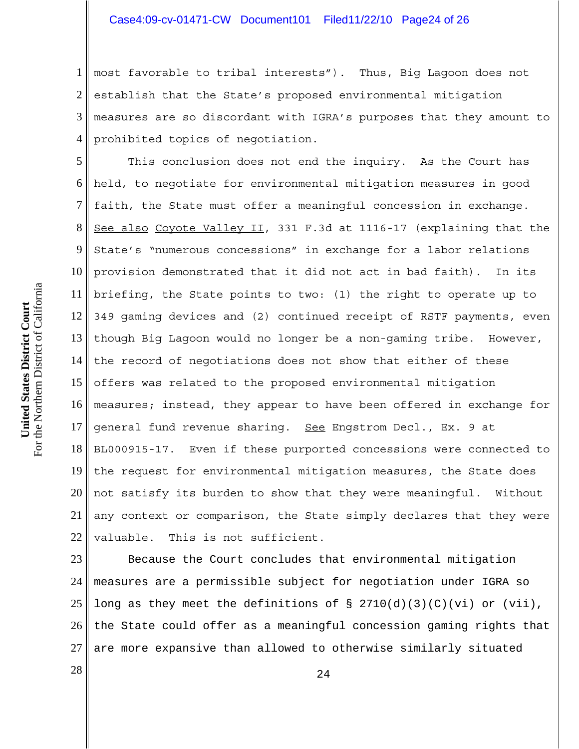1 2 3 4 most favorable to tribal interests"). Thus, Big Lagoon does not establish that the State's proposed environmental mitigation measures are so discordant with IGRA's purposes that they amount to prohibited topics of negotiation.

5 6 7 8 9 10 11 12 13 14 15 16 17 18 19 20 21 22 This conclusion does not end the inquiry. As the Court has held, to negotiate for environmental mitigation measures in good faith, the State must offer a meaningful concession in exchange. See also Coyote Valley II, 331 F.3d at 1116-17 (explaining that the State's "numerous concessions" in exchange for a labor relations provision demonstrated that it did not act in bad faith). In its briefing, the State points to two: (1) the right to operate up to 349 gaming devices and (2) continued receipt of RSTF payments, even though Big Lagoon would no longer be a non-gaming tribe. However, the record of negotiations does not show that either of these offers was related to the proposed environmental mitigation measures; instead, they appear to have been offered in exchange for general fund revenue sharing. See Engstrom Decl., Ex. 9 at BL000915-17. Even if these purported concessions were connected to the request for environmental mitigation measures, the State does not satisfy its burden to show that they were meaningful. Without any context or comparison, the State simply declares that they were valuable. This is not sufficient.

23 24 25 26 27 Because the Court concludes that environmental mitigation measures are a permissible subject for negotiation under IGRA so long as they meet the definitions of  $\S$  2710(d)(3)(C)(vi) or (vii), the State could offer as a meaningful concession gaming rights that are more expansive than allowed to otherwise similarly situated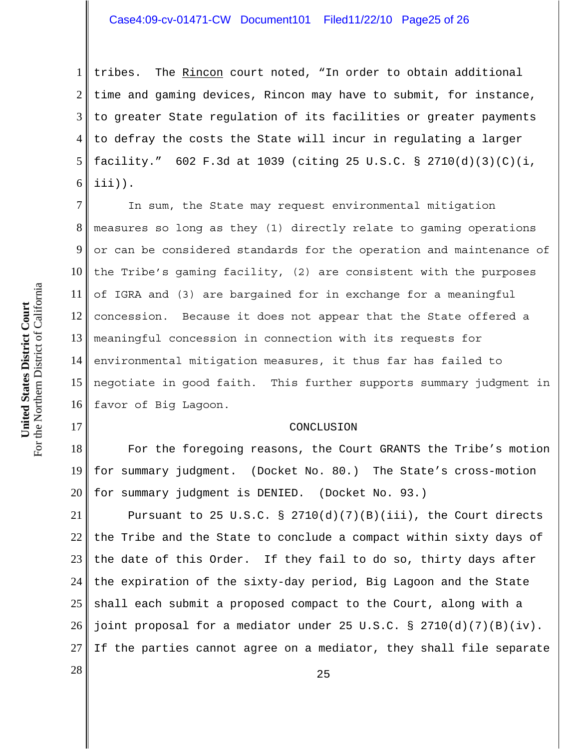## Case4:09-cv-01471-CW Document101 Filed11/22/10 Page25 of 26

1 2 3 4 5 6 tribes. The Rincon court noted, "In order to obtain additional time and gaming devices, Rincon may have to submit, for instance, to greater State regulation of its facilities or greater payments to defray the costs the State will incur in regulating a larger facility." 602 F.3d at 1039 (citing 25 U.S.C. § 2710(d)(3)(C)(i, iii)).

7 8 9 10 11 12 13 14 15 16 In sum, the State may request environmental mitigation measures so long as they (1) directly relate to gaming operations or can be considered standards for the operation and maintenance of the Tribe's gaming facility, (2) are consistent with the purposes of IGRA and (3) are bargained for in exchange for a meaningful concession. Because it does not appear that the State offered a meaningful concession in connection with its requests for environmental mitigation measures, it thus far has failed to negotiate in good faith. This further supports summary judgment in favor of Big Lagoon.

#### CONCLUSION

18 19 20 For the foregoing reasons, the Court GRANTS the Tribe's motion for summary judgment. (Docket No. 80.) The State's cross-motion for summary judgment is DENIED. (Docket No. 93.)

21 22 23 24 25 26 27 Pursuant to 25 U.S.C. §  $2710(d)(7)(B)(iii)$ , the Court directs the Tribe and the State to conclude a compact within sixty days of the date of this Order. If they fail to do so, thirty days after the expiration of the sixty-day period, Big Lagoon and the State shall each submit a proposed compact to the Court, along with a joint proposal for a mediator under 25 U.S.C. § 2710(d)(7)(B)(iv). If the parties cannot agree on a mediator, they shall file separate